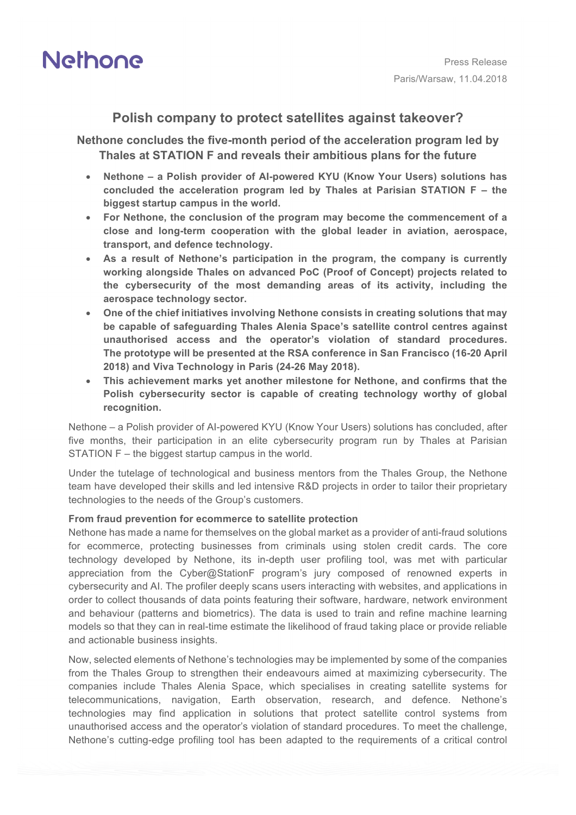

## **Polish company to protect satellites against takeover?**

**Nethone concludes the five-month period of the acceleration program led by Thales at STATION F and reveals their ambitious plans for the future**

- **Nethone – a Polish provider of AI-powered KYU (Know Your Users) solutions has concluded the acceleration program led by Thales at Parisian STATION F – the biggest startup campus in the world.**
- **For Nethone, the conclusion of the program may become the commencement of a close and long-term cooperation with the global leader in aviation, aerospace, transport, and defence technology.**
- **As a result of Nethone's participation in the program, the company is currently working alongside Thales on advanced PoC (Proof of Concept) projects related to the cybersecurity of the most demanding areas of its activity, including the aerospace technology sector.**
- **One of the chief initiatives involving Nethone consists in creating solutions that may be capable of safeguarding Thales Alenia Space's satellite control centres against unauthorised access and the operator's violation of standard procedures. The prototype will be presented at the RSA conference in San Francisco (16-20 April 2018) and Viva Technology in Paris (24-26 May 2018).**
- **This achievement marks yet another milestone for Nethone, and confirms that the Polish cybersecurity sector is capable of creating technology worthy of global recognition.**

Nethone – a Polish provider of AI-powered KYU (Know Your Users) solutions has concluded, after five months, their participation in an elite cybersecurity program run by Thales at Parisian STATION F – the biggest startup campus in the world.

Under the tutelage of technological and business mentors from the Thales Group, the Nethone team have developed their skills and led intensive R&D projects in order to tailor their proprietary technologies to the needs of the Group's customers.

### **From fraud prevention for ecommerce to satellite protection**

Nethone has made a name for themselves on the global market as a provider of anti-fraud solutions for ecommerce, protecting businesses from criminals using stolen credit cards. The core technology developed by Nethone, its in-depth user profiling tool, was met with particular appreciation from the Cyber@StationF program's jury composed of renowned experts in cybersecurity and AI. The profiler deeply scans users interacting with websites, and applications in order to collect thousands of data points featuring their software, hardware, network environment and behaviour (patterns and biometrics). The data is used to train and refine machine learning models so that they can in real-time estimate the likelihood of fraud taking place or provide reliable and actionable business insights.

Now, selected elements of Nethone's technologies may be implemented by some of the companies from the Thales Group to strengthen their endeavours aimed at maximizing cybersecurity. The companies include Thales Alenia Space, which specialises in creating satellite systems for telecommunications, navigation, Earth observation, research, and defence. Nethone's technologies may find application in solutions that protect satellite control systems from unauthorised access and the operator's violation of standard procedures. To meet the challenge, Nethone's cutting-edge profiling tool has been adapted to the requirements of a critical control